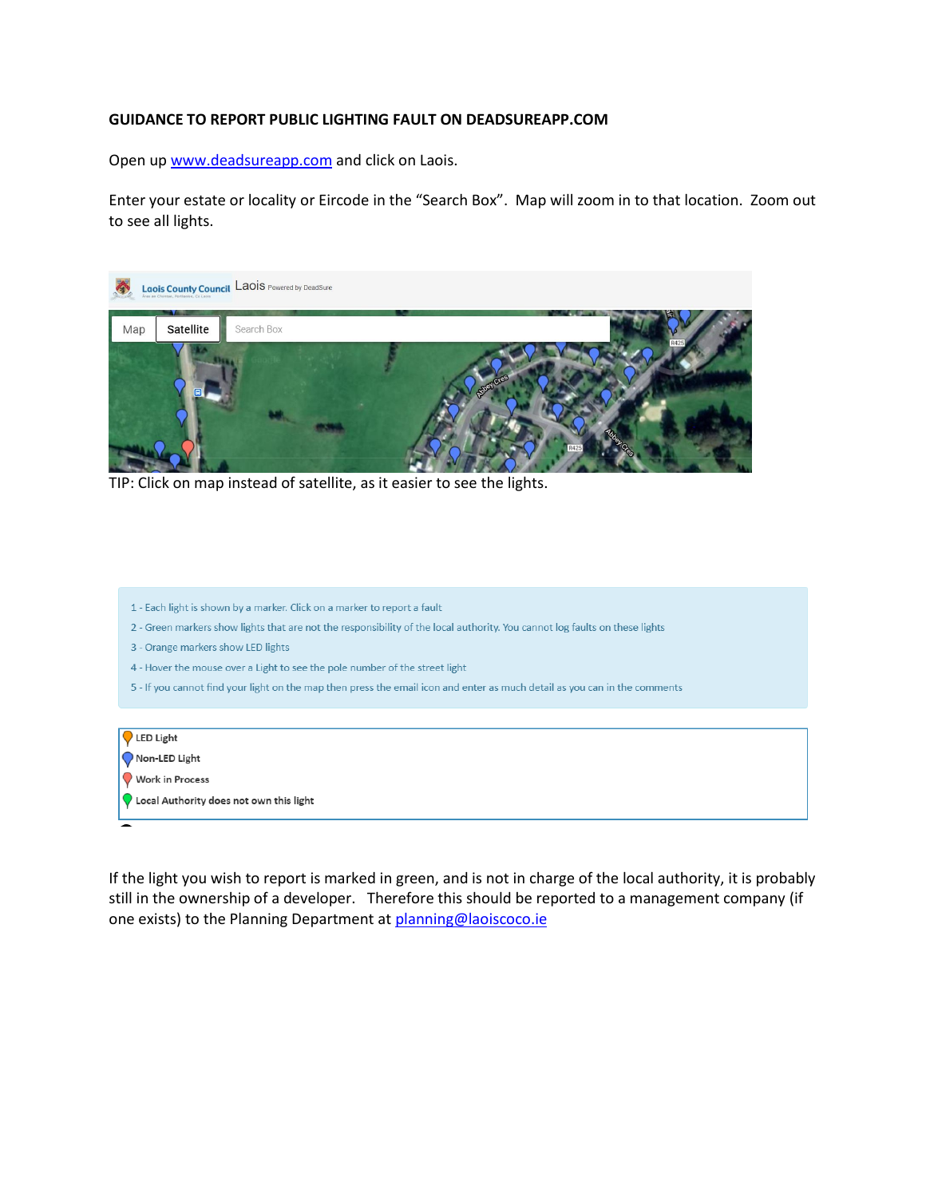## **GUIDANCE TO REPORT PUBLIC LIGHTING FAULT ON DEADSUREAPP.COM**

Open up [www.deadsureapp.com](http://www.deadsureapp.com/) and click on Laois.

Enter your estate or locality or Eircode in the "Search Box". Map will zoom in to that location. Zoom out to see all lights.



TIP: Click on map instead of satellite, as it easier to see the lights.

- 1 Each light is shown by a marker. Click on a marker to report a fault
- 2 Green markers show lights that are not the responsibility of the local authority. You cannot log faults on these lights
- 3 Orange markers show LED lights
- 4 Hover the mouse over a Light to see the pole number of the street light
- 5 If you cannot find your light on the map then press the email icon and enter as much detail as you can in the comments

| Q LED Light<br>Q Non-LED Light                               |  |
|--------------------------------------------------------------|--|
| V<br>Vork in Process                                         |  |
| $\sqrt{\phantom{a}}$ Local Authority does not own this light |  |
|                                                              |  |

If the light you wish to report is marked in green, and is not in charge of the local authority, it is probably still in the ownership of a developer. Therefore this should be reported to a management company (if one exists) to the Planning Department at [planning@laoiscoco.ie](mailto:planning@laoiscoco.ie)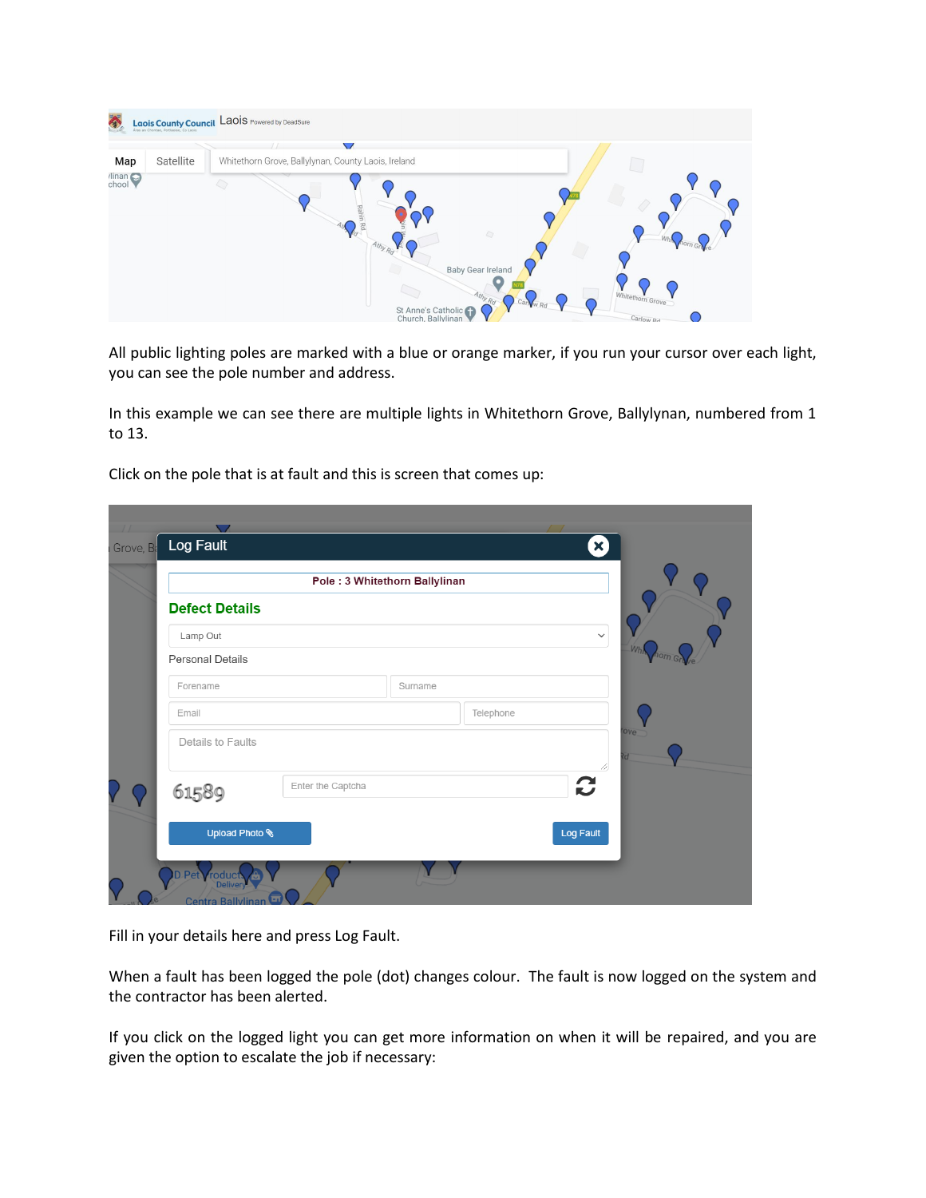| <b>Laois County Council</b> Laois Powered by DeadSure                                                                                                                                                                                                                     |  |
|---------------------------------------------------------------------------------------------------------------------------------------------------------------------------------------------------------------------------------------------------------------------------|--|
| $\sqrt{}$<br>Satellite<br>Whitethorn Grove, Ballylynan, County Laois, Ireland<br>Map<br>$\limsup_{\text{chool}}$<br>Rahin<br>6<br>Athy Rd<br><b>Baby Gear Ireland</b><br>Whitethorn Grove<br>Athy Rd<br>Car w p.<br>St Anne's Catholic<br>Church, Ballylinan<br>Carlow Rd |  |

All public lighting poles are marked with a blue or orange marker, if you run your cursor over each light, you can see the pole number and address.

In this example we can see there are multiple lights in Whitethorn Grove, Ballylynan, numbered from 1 to 13.

Click on the pole that is at fault and this is screen that comes up:

| Grove, Ba | Log Fault                              |                   |         |           | X)           |                |
|-----------|----------------------------------------|-------------------|---------|-----------|--------------|----------------|
|           | Pole: 3 Whitethorn Ballylinan          |                   |         |           |              |                |
|           | <b>Defect Details</b>                  |                   |         |           |              |                |
|           | Lamp Out                               |                   |         |           | $\checkmark$ |                |
|           | <b>Personal Details</b>                |                   |         |           |              | Wh<br>horn Gry |
|           | Forename                               |                   | Surname |           |              |                |
|           | Email                                  |                   |         | Telephone |              |                |
|           | Details to Faults                      |                   |         |           |              | <b>Tove</b>    |
|           | 61589                                  | Enter the Captcha |         |           | $\mathbf{C}$ |                |
|           | Upload Photo \                         |                   |         |           | Log Fault    |                |
|           | Pet<br><i>roduct</i><br><b>Deliver</b> |                   |         |           |              |                |

Fill in your details here and press Log Fault.

When a fault has been logged the pole (dot) changes colour. The fault is now logged on the system and the contractor has been alerted.

If you click on the logged light you can get more information on when it will be repaired, and you are given the option to escalate the job if necessary: